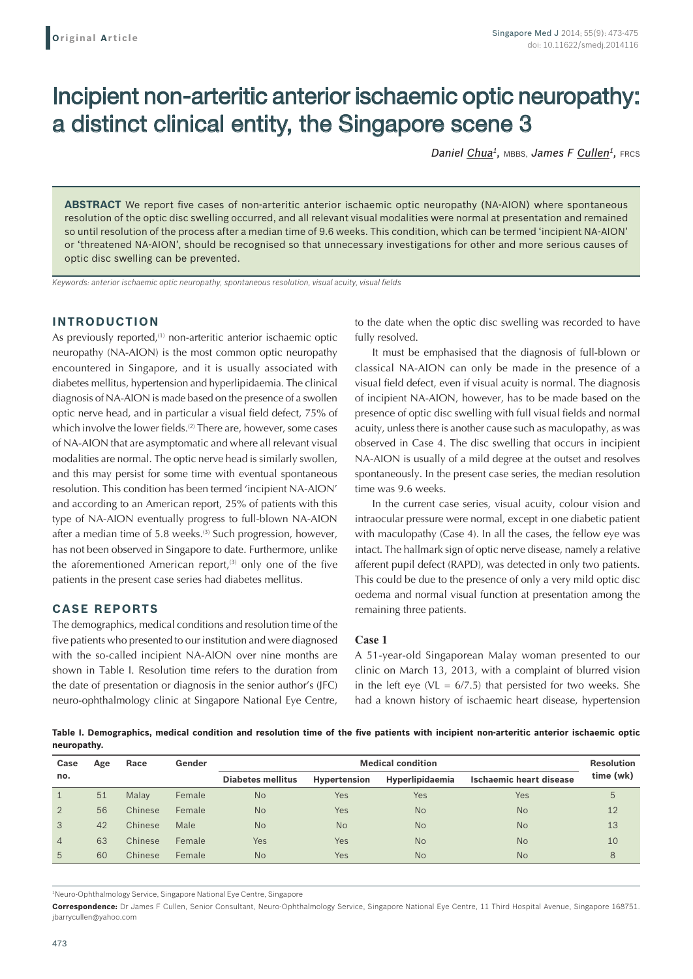# Incipient non-arteritic anterior ischaemic optic neuropathy: a distinct clinical entity, the Singapore scene 3

*Daniel Chua1,* MBBS, *James F Cullen1,* FRCS

**ABSTRACT** We report five cases of non-arteritic anterior ischaemic optic neuropathy (NA-AION) where spontaneous resolution of the optic disc swelling occurred, and all relevant visual modalities were normal at presentation and remained so until resolution of the process after a median time of 9.6 weeks. This condition, which can be termed 'incipient NA-AION' or 'threatened NA-AION', should be recognised so that unnecessary investigations for other and more serious causes of optic disc swelling can be prevented.

*Keywords: anterior ischaemic optic neuropathy, spontaneous resolution, visual acuity, visual fields*

## **INTRODUCTION**

As previously reported,<sup>(1)</sup> non-arteritic anterior ischaemic optic neuropathy (NA-AION) is the most common optic neuropathy encountered in Singapore, and it is usually associated with diabetes mellitus, hypertension and hyperlipidaemia. The clinical diagnosis of NA-AION is made based on the presence of a swollen optic nerve head, and in particular a visual field defect, 75% of which involve the lower fields.<sup>(2)</sup> There are, however, some cases of NA-AION that are asymptomatic and where all relevant visual modalities are normal. The optic nerve head is similarly swollen, and this may persist for some time with eventual spontaneous resolution. This condition has been termed 'incipient NA-AION' and according to an American report, 25% of patients with this type of NA-AION eventually progress to full-blown NA-AION after a median time of 5.8 weeks.<sup>(3)</sup> Such progression, however, has not been observed in Singapore to date. Furthermore, unlike the aforementioned American report, $(3)$  only one of the five patients in the present case series had diabetes mellitus.

## **CASE REPORTS**

The demographics, medical conditions and resolution time of the five patients who presented to our institution and were diagnosed with the so-called incipient NA-AION over nine months are shown in Table I. Resolution time refers to the duration from the date of presentation or diagnosis in the senior author's (JFC) neuro-ophthalmology clinic at Singapore National Eye Centre,

to the date when the optic disc swelling was recorded to have fully resolved.

It must be emphasised that the diagnosis of full-blown or classical NA-AION can only be made in the presence of a visual field defect, even if visual acuity is normal. The diagnosis of incipient NA-AION, however, has to be made based on the presence of optic disc swelling with full visual fields and normal acuity, unless there is another cause such as maculopathy, as was observed in Case 4. The disc swelling that occurs in incipient NA-AION is usually of a mild degree at the outset and resolves spontaneously. In the present case series, the median resolution time was 9.6 weeks.

In the current case series, visual acuity, colour vision and intraocular pressure were normal, except in one diabetic patient with maculopathy (Case 4). In all the cases, the fellow eye was intact. The hallmark sign of optic nerve disease, namely a relative afferent pupil defect (RAPD), was detected in only two patients. This could be due to the presence of only a very mild optic disc oedema and normal visual function at presentation among the remaining three patients.

#### **Case 1**

A 51-year-old Singaporean Malay woman presented to our clinic on March 13, 2013, with a complaint of blurred vision in the left eye (VL =  $6/7.5$ ) that persisted for two weeks. She had a known history of ischaemic heart disease, hypertension

**Table I. Demographics, medical condition and resolution time of the five patients with incipient non‑arteritic anterior ischaemic optic neuropathy.**

| Case           | Age | Race    | Gender | <b>Medical condition</b> |                     |                        |                                | <b>Resolution</b> |
|----------------|-----|---------|--------|--------------------------|---------------------|------------------------|--------------------------------|-------------------|
| no.            |     |         |        | <b>Diabetes mellitus</b> | <b>Hypertension</b> | <b>Hyperlipidaemia</b> | <b>Ischaemic heart disease</b> | time (wk)         |
|                | 51  | Malay   | Female | <b>No</b>                | Yes                 | Yes                    | Yes                            | 5                 |
| $\overline{2}$ | 56  | Chinese | Female | <b>No</b>                | Yes                 | <b>No</b>              | <b>No</b>                      | 12                |
| 3              | 42  | Chinese | Male   | <b>No</b>                | <b>No</b>           | <b>No</b>              | <b>No</b>                      | 13                |
| $\overline{4}$ | 63  | Chinese | Female | Yes                      | Yes                 | <b>No</b>              | <b>No</b>                      | 10                |
| 5              | 60  | Chinese | Female | <b>No</b>                | Yes                 | <b>No</b>              | <b>No</b>                      | 8                 |

1 Neuro-Ophthalmology Service, Singapore National Eye Centre, Singapore

**Correspondence:** Dr James F Cullen, Senior Consultant, Neuro-Ophthalmology Service, Singapore National Eye Centre, 11 Third Hospital Avenue, Singapore 168751. jbarrycullen@yahoo.com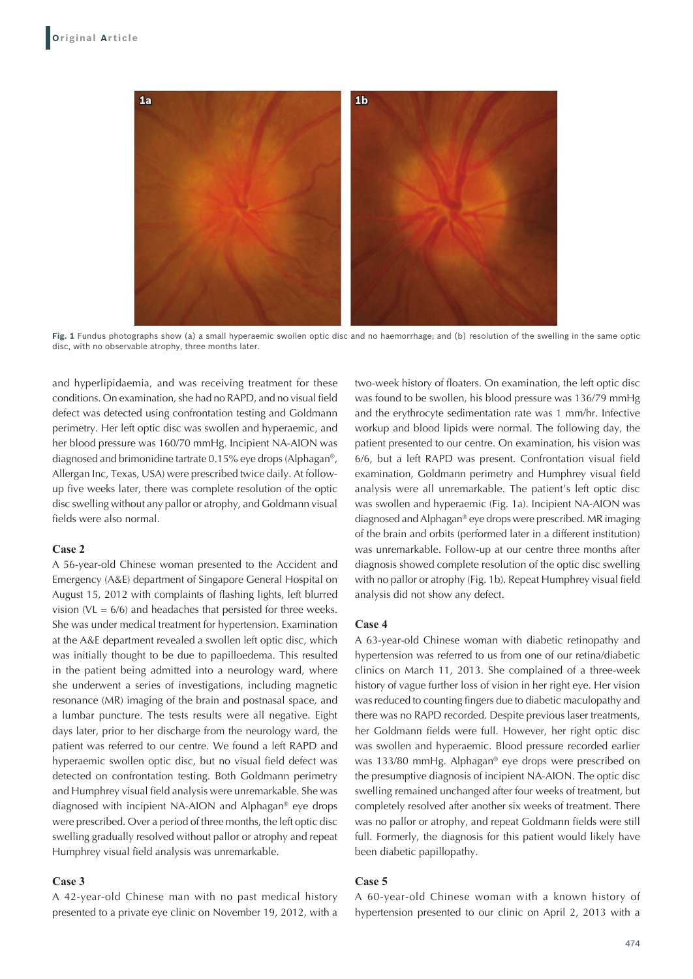

**Fig. 1** Fundus photographs show (a) a small hyperaemic swollen optic disc and no haemorrhage; and (b) resolution of the swelling in the same optic disc, with no observable atrophy, three months later.

and hyperlipidaemia, and was receiving treatment for these conditions. On examination, she had no RAPD, and no visual field defect was detected using confrontation testing and Goldmann perimetry. Her left optic disc was swollen and hyperaemic, and her blood pressure was 160/70 mmHg. Incipient NA-AION was diagnosed and brimonidine tartrate 0.15% eye drops (Alphagan®, Allergan Inc, Texas, USA) were prescribed twice daily. At followup five weeks later, there was complete resolution of the optic disc swelling without any pallor or atrophy, and Goldmann visual fields were also normal.

### **Case 2**

A 56-year-old Chinese woman presented to the Accident and Emergency (A&E) department of Singapore General Hospital on August 15, 2012 with complaints of flashing lights, left blurred vision ( $VL = 6/6$ ) and headaches that persisted for three weeks. She was under medical treatment for hypertension. Examination at the A&E department revealed a swollen left optic disc, which was initially thought to be due to papilloedema. This resulted in the patient being admitted into a neurology ward, where she underwent a series of investigations, including magnetic resonance (MR) imaging of the brain and postnasal space, and a lumbar puncture. The tests results were all negative. Eight days later, prior to her discharge from the neurology ward, the patient was referred to our centre. We found a left RAPD and hyperaemic swollen optic disc, but no visual field defect was detected on confrontation testing. Both Goldmann perimetry and Humphrey visual field analysis were unremarkable. She was diagnosed with incipient NA-AION and Alphagan® eye drops were prescribed. Over a period of three months, the left optic disc swelling gradually resolved without pallor or atrophy and repeat Humphrey visual field analysis was unremarkable.

#### **Case 3**

A 42-year-old Chinese man with no past medical history presented to a private eye clinic on November 19, 2012, with a

two-week history of floaters. On examination, the left optic disc was found to be swollen, his blood pressure was 136/79 mmHg and the erythrocyte sedimentation rate was 1 mm/hr. Infective workup and blood lipids were normal. The following day, the patient presented to our centre. On examination, his vision was 6/6, but a left RAPD was present. Confrontation visual field examination, Goldmann perimetry and Humphrey visual field analysis were all unremarkable. The patient's left optic disc was swollen and hyperaemic (Fig. 1a). Incipient NA-AION was diagnosed and Alphagan® eye drops were prescribed. MR imaging of the brain and orbits (performed later in a different institution) was unremarkable. Follow-up at our centre three months after diagnosis showed complete resolution of the optic disc swelling with no pallor or atrophy (Fig. 1b). Repeat Humphrey visual field analysis did not show any defect.

#### **Case 4**

A 63-year-old Chinese woman with diabetic retinopathy and hypertension was referred to us from one of our retina/diabetic clinics on March 11, 2013. She complained of a three-week history of vague further loss of vision in her right eye. Her vision was reduced to counting fingers due to diabetic maculopathy and there was no RAPD recorded. Despite previous laser treatments, her Goldmann fields were full. However, her right optic disc was swollen and hyperaemic. Blood pressure recorded earlier was 133/80 mmHg. Alphagan® eye drops were prescribed on the presumptive diagnosis of incipient NA-AION. The optic disc swelling remained unchanged after four weeks of treatment, but completely resolved after another six weeks of treatment. There was no pallor or atrophy, and repeat Goldmann fields were still full. Formerly, the diagnosis for this patient would likely have been diabetic papillopathy.

## **Case 5**

A 60-year-old Chinese woman with a known history of hypertension presented to our clinic on April 2, 2013 with a